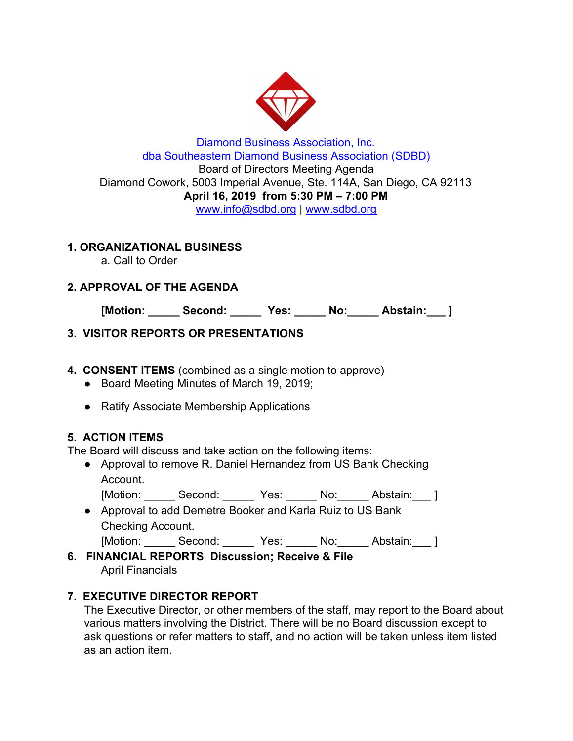

#### Diamond Business Association, Inc. dba Southeastern Diamond Business Association (SDBD) Board of Directors Meeting Agenda Diamond Cowork, 5003 Imperial Avenue, Ste. 114A, San Diego, CA 92113 **April 16, 2019 from 5:30 PM – 7:00 PM** www.info@sdbd.org | [www.sdbd.org](http://www.sdbd.org/)

## **1. ORGANIZATIONAL BUSINESS**

a. Call to Order

# **2. APPROVAL OF THE AGENDA**

**[Motion: \_\_\_\_\_ Second: \_\_\_\_\_ Yes: \_\_\_\_\_ No:\_\_\_\_\_ Abstain:\_\_\_ ]**

## **3. VISITOR REPORTS OR PRESENTATIONS**

## **4. CONSENT ITEMS** (combined as a single motion to approve)

- Board Meeting Minutes of March 19, 2019;
- Ratify Associate Membership Applications

# **5. ACTION ITEMS**

The Board will discuss and take action on the following items:

- Approval to remove R. Daniel Hernandez from US Bank Checking Account.
	- [Motion: Second: Yes: No: Abstain: ]
- Approval to add Demetre Booker and Karla Ruiz to US Bank Checking Account.
	- [Motion: Second: Yes: No: Abstain: ]
- **6. FINANCIAL REPORTS Discussion; Receive & File** April Financials

# **7. EXECUTIVE DIRECTOR REPORT**

The Executive Director, or other members of the staff, may report to the Board about various matters involving the District. There will be no Board discussion except to ask questions or refer matters to staff, and no action will be taken unless item listed as an action item.